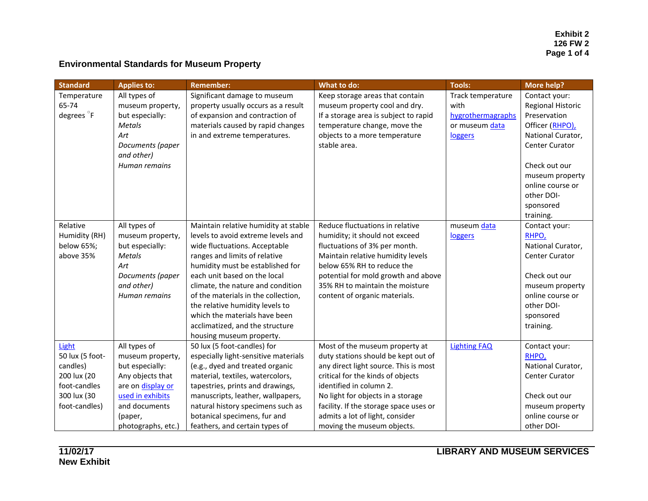## **Environmental Standards for Museum Property**

| <b>Standard</b>        | <b>Applies to:</b> | <b>Remember:</b>                     | What to do:                            | <b>Tools:</b>       | <b>More help?</b>        |
|------------------------|--------------------|--------------------------------------|----------------------------------------|---------------------|--------------------------|
| Temperature            | All types of       | Significant damage to museum         | Keep storage areas that contain        | Track temperature   | Contact your:            |
| 65-74                  | museum property,   | property usually occurs as a result  | museum property cool and dry.          | with                | <b>Regional Historic</b> |
| degrees <sup>o</sup> F | but especially:    | of expansion and contraction of      | If a storage area is subject to rapid  | hygrothermagraphs   | Preservation             |
|                        | <b>Metals</b>      | materials caused by rapid changes    | temperature change, move the           | or museum data      | Officer (RHPO),          |
|                        | Art                | in and extreme temperatures.         | objects to a more temperature          | loggers             | National Curator,        |
|                        | Documents (paper   |                                      | stable area.                           |                     | <b>Center Curator</b>    |
|                        | and other)         |                                      |                                        |                     |                          |
|                        | Human remains      |                                      |                                        |                     | Check out our            |
|                        |                    |                                      |                                        |                     | museum property          |
|                        |                    |                                      |                                        |                     | online course or         |
|                        |                    |                                      |                                        |                     | other DOI-               |
|                        |                    |                                      |                                        |                     | sponsored                |
|                        |                    |                                      |                                        |                     | training.                |
| Relative               | All types of       | Maintain relative humidity at stable | Reduce fluctuations in relative        | museum data         | Contact your:            |
| Humidity (RH)          | museum property,   | levels to avoid extreme levels and   | humidity; it should not exceed         | loggers             | RHPO,                    |
| below 65%;             | but especially:    | wide fluctuations. Acceptable        | fluctuations of 3% per month.          |                     | National Curator,        |
| above 35%              | <b>Metals</b>      | ranges and limits of relative        | Maintain relative humidity levels      |                     | <b>Center Curator</b>    |
|                        | Art                | humidity must be established for     | below 65% RH to reduce the             |                     |                          |
|                        | Documents (paper   | each unit based on the local         | potential for mold growth and above    |                     | Check out our            |
|                        | and other)         | climate, the nature and condition    | 35% RH to maintain the moisture        |                     | museum property          |
|                        | Human remains      | of the materials in the collection,  | content of organic materials.          |                     | online course or         |
|                        |                    | the relative humidity levels to      |                                        |                     | other DOI-               |
|                        |                    | which the materials have been        |                                        |                     | sponsored                |
|                        |                    | acclimatized, and the structure      |                                        |                     | training.                |
|                        |                    | housing museum property.             |                                        |                     |                          |
| Light                  | All types of       | 50 lux (5 foot-candles) for          | Most of the museum property at         | <b>Lighting FAQ</b> | Contact your:            |
| 50 lux (5 foot-        | museum property,   | especially light-sensitive materials | duty stations should be kept out of    |                     | RHPO,                    |
| candles)               | but especially:    | (e.g., dyed and treated organic      | any direct light source. This is most  |                     | National Curator,        |
| 200 lux (20            | Any objects that   | material, textiles, watercolors,     | critical for the kinds of objects      |                     | <b>Center Curator</b>    |
| foot-candles           | are on display or  | tapestries, prints and drawings,     | identified in column 2.                |                     |                          |
| 300 lux (30            | used in exhibits   | manuscripts, leather, wallpapers,    | No light for objects in a storage      |                     | Check out our            |
| foot-candles)          | and documents      | natural history specimens such as    | facility. If the storage space uses or |                     | museum property          |
|                        | (paper,            | botanical specimens, fur and         | admits a lot of light, consider        |                     | online course or         |
|                        | photographs, etc.) | feathers, and certain types of       | moving the museum objects.             |                     | other DOI-               |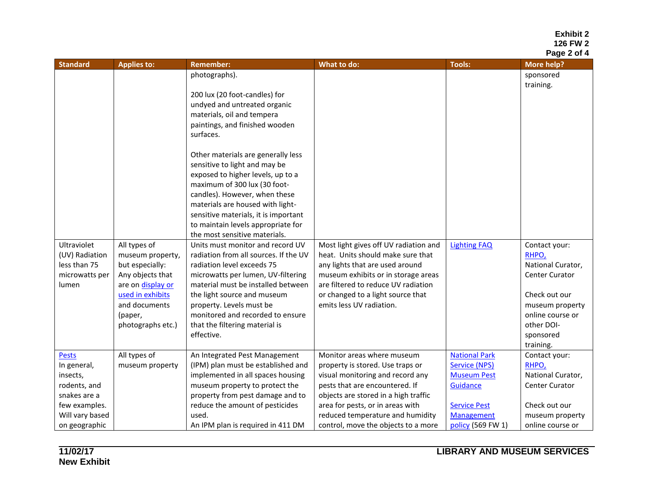**Exhibit 2 126 FW 2 Page 2 of 4**

| <b>Standard</b> | <b>Applies to:</b> | <b>Remember:</b>                                             | What to do:                           | <b>Tools:</b>        | <b>More help?</b>       |
|-----------------|--------------------|--------------------------------------------------------------|---------------------------------------|----------------------|-------------------------|
|                 |                    | photographs).                                                |                                       |                      | sponsored               |
|                 |                    |                                                              |                                       |                      | training.               |
|                 |                    | 200 lux (20 foot-candles) for                                |                                       |                      |                         |
|                 |                    | undyed and untreated organic                                 |                                       |                      |                         |
|                 |                    | materials, oil and tempera                                   |                                       |                      |                         |
|                 |                    | paintings, and finished wooden                               |                                       |                      |                         |
|                 |                    | surfaces.                                                    |                                       |                      |                         |
|                 |                    | Other materials are generally less                           |                                       |                      |                         |
|                 |                    | sensitive to light and may be                                |                                       |                      |                         |
|                 |                    | exposed to higher levels, up to a                            |                                       |                      |                         |
|                 |                    | maximum of 300 lux (30 foot-                                 |                                       |                      |                         |
|                 |                    | candles). However, when these                                |                                       |                      |                         |
|                 |                    | materials are housed with light-                             |                                       |                      |                         |
|                 |                    | sensitive materials, it is important                         |                                       |                      |                         |
|                 |                    | to maintain levels appropriate for                           |                                       |                      |                         |
|                 |                    | the most sensitive materials.                                |                                       |                      |                         |
| Ultraviolet     | All types of       | Units must monitor and record UV                             | Most light gives off UV radiation and | <b>Lighting FAQ</b>  | Contact your:           |
| (UV) Radiation  | museum property,   | radiation from all sources. If the UV                        | heat. Units should make sure that     |                      | RHPO,                   |
| less than 75    | but especially:    | radiation level exceeds 75                                   | any lights that are used around       |                      | National Curator,       |
| microwatts per  | Any objects that   | microwatts per lumen, UV-filtering                           | museum exhibits or in storage areas   |                      | <b>Center Curator</b>   |
| lumen           | are on display or  | material must be installed between                           | are filtered to reduce UV radiation   |                      |                         |
|                 | used in exhibits   | the light source and museum                                  | or changed to a light source that     |                      | Check out our           |
|                 | and documents      | property. Levels must be<br>monitored and recorded to ensure | emits less UV radiation.              |                      | museum property         |
|                 | (paper,            |                                                              |                                       |                      | online course or        |
|                 | photographs etc.)  | that the filtering material is<br>effective.                 |                                       |                      | other DOI-<br>sponsored |
|                 |                    |                                                              |                                       |                      | training.               |
| <b>Pests</b>    | All types of       | An Integrated Pest Management                                | Monitor areas where museum            | <b>National Park</b> | Contact your:           |
| In general,     | museum property    | (IPM) plan must be established and                           | property is stored. Use traps or      | <b>Service (NPS)</b> | RHPO,                   |
| insects,        |                    | implemented in all spaces housing                            | visual monitoring and record any      | <b>Museum Pest</b>   | National Curator,       |
| rodents, and    |                    | museum property to protect the                               | pests that are encountered. If        | Guidance             | <b>Center Curator</b>   |
| snakes are a    |                    | property from pest damage and to                             | objects are stored in a high traffic  |                      |                         |
| few examples.   |                    | reduce the amount of pesticides                              | area for pests, or in areas with      | <b>Service Pest</b>  | Check out our           |
| Will vary based |                    | used.                                                        | reduced temperature and humidity      | <b>Management</b>    | museum property         |
| on geographic   |                    | An IPM plan is required in 411 DM                            | control, move the objects to a more   | policy (569 FW 1)    | online course or        |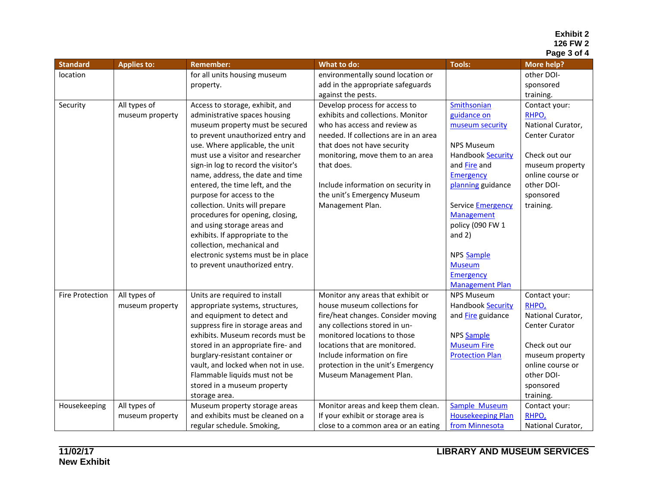## **Exhibit 2 126 FW 2 Page 3 of 4**

| <b>Standard</b>        | <b>Applies to:</b> | <b>Remember:</b>                                                       | What to do:                                                   | <b>Tools:</b>                    | <b>More help?</b>                   |
|------------------------|--------------------|------------------------------------------------------------------------|---------------------------------------------------------------|----------------------------------|-------------------------------------|
| location               |                    | for all units housing museum                                           | environmentally sound location or                             |                                  | other DOI-                          |
|                        |                    | property.                                                              | add in the appropriate safeguards                             |                                  | sponsored                           |
|                        |                    |                                                                        | against the pests.                                            |                                  | training.                           |
| Security               | All types of       | Access to storage, exhibit, and                                        | Develop process for access to                                 | <b>Smithsonian</b>               | Contact your:                       |
|                        | museum property    | administrative spaces housing                                          | exhibits and collections. Monitor                             | guidance on                      | RHPO,                               |
|                        |                    | museum property must be secured                                        | who has access and review as                                  | museum security                  | National Curator,                   |
|                        |                    | to prevent unauthorized entry and                                      | needed. If collections are in an area                         |                                  | Center Curator                      |
|                        |                    | use. Where applicable, the unit                                        | that does not have security                                   | <b>NPS Museum</b>                |                                     |
|                        |                    | must use a visitor and researcher                                      | monitoring, move them to an area                              | Handbook Security                | Check out our                       |
|                        |                    | sign-in log to record the visitor's                                    | that does.                                                    | and Fire and                     | museum property                     |
|                        |                    | name, address, the date and time                                       |                                                               | <b>Emergency</b>                 | online course or                    |
|                        |                    | entered, the time left, and the                                        | Include information on security in                            | planning guidance                | other DOI-                          |
|                        |                    | purpose for access to the                                              | the unit's Emergency Museum                                   |                                  | sponsored                           |
|                        |                    | collection. Units will prepare                                         | Management Plan.                                              | <b>Service Emergency</b>         | training.                           |
|                        |                    | procedures for opening, closing,                                       |                                                               | <b>Management</b>                |                                     |
|                        |                    | and using storage areas and                                            |                                                               | policy (090 FW 1                 |                                     |
|                        |                    | exhibits. If appropriate to the                                        |                                                               | and $2)$                         |                                     |
|                        |                    | collection, mechanical and                                             |                                                               |                                  |                                     |
|                        |                    | electronic systems must be in place                                    |                                                               | NPS Sample                       |                                     |
|                        |                    | to prevent unauthorized entry.                                         |                                                               | <b>Museum</b>                    |                                     |
|                        |                    |                                                                        |                                                               | <b>Emergency</b>                 |                                     |
|                        |                    |                                                                        |                                                               | <b>Management Plan</b>           |                                     |
| <b>Fire Protection</b> | All types of       | Units are required to install                                          | Monitor any areas that exhibit or                             | <b>NPS Museum</b>                | Contact your:                       |
|                        | museum property    | appropriate systems, structures,                                       | house museum collections for                                  | <b>Handbook Security</b>         | RHPO,                               |
|                        |                    | and equipment to detect and                                            | fire/heat changes. Consider moving                            | and Fire guidance                | National Curator,                   |
|                        |                    | suppress fire in storage areas and<br>exhibits. Museum records must be | any collections stored in un-<br>monitored locations to those |                                  | <b>Center Curator</b>               |
|                        |                    | stored in an appropriate fire- and                                     | locations that are monitored.                                 | NPS Sample<br><b>Museum Fire</b> | Check out our                       |
|                        |                    | burglary-resistant container or                                        | Include information on fire                                   | <b>Protection Plan</b>           |                                     |
|                        |                    | vault, and locked when not in use.                                     | protection in the unit's Emergency                            |                                  | museum property<br>online course or |
|                        |                    | Flammable liquids must not be                                          | Museum Management Plan.                                       |                                  | other DOI-                          |
|                        |                    | stored in a museum property                                            |                                                               |                                  | sponsored                           |
|                        |                    | storage area.                                                          |                                                               |                                  | training.                           |
| Housekeeping           | All types of       | Museum property storage areas                                          | Monitor areas and keep them clean.                            | Sample Museum                    | Contact your:                       |
|                        | museum property    | and exhibits must be cleaned on a                                      | If your exhibit or storage area is                            | <b>Housekeeping Plan</b>         | RHPO,                               |
|                        |                    | regular schedule. Smoking,                                             | close to a common area or an eating                           | from Minnesota                   | National Curator,                   |